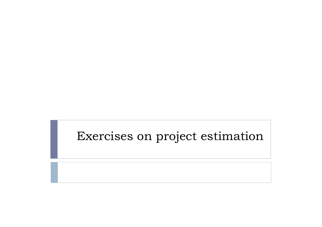## Exercises on project estimation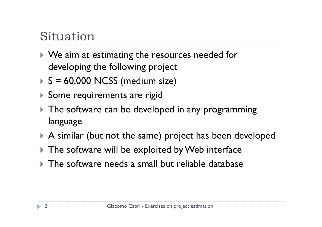# Situation

- $\blacktriangleright$  We aim at estimating the resources needed for developing the following project
- S = 60,000 NCSS (medium size)
- Some requirements are rigid
- The software can be developed in any programming language
- $\blacktriangleright$  A similar (but not the same) project has been developed
- $\blacktriangleright$  The software will be exploited by Web interface
- $\blacktriangleright$  The software needs a small but reliable database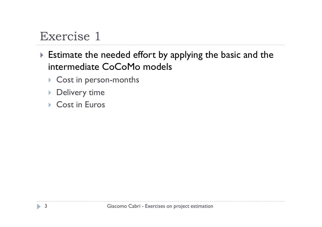- Estimate the needed effort by applying the basic and the intermediate CoCoMo models
	- ▶ Cost in person-months
	- $\blacktriangleright$  Delivery time
	- ▶ Cost in Euros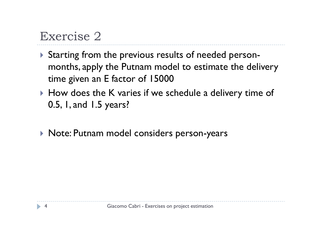- Starting from the previous results of needed person months, apply the Putnam model to estimate the delivery time given an E factor of 15000
- $\blacktriangleright$  How does the K varies if we schedule a delivery time of 0.5, 1, and 1.5 years?
- Note: Putnam model considers person-years

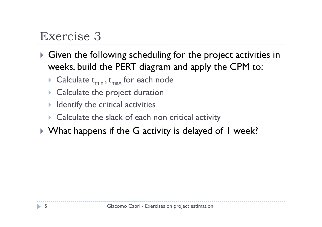- Given the following scheduling for the project activities in weeks, build the PERT diagram and apply the CPM to:
	- Calculate  $t_{min}$ ,  $t_{max}$  for each node
	- ▶ Calculate the project duration
	- $\blacktriangleright$ Identify the critical activities
	- **Exercise Exercity Calculate the slack of each non critical activity**
- $\blacktriangleright$  What happens if the G activity is delayed of I week?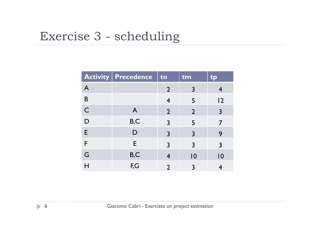# Exercise 3 - scheduling

|              | <b>Activity Precedence</b> | to             | tm             | CID            |
|--------------|----------------------------|----------------|----------------|----------------|
| $\mathsf{A}$ |                            | $\overline{2}$ | $\overline{3}$ | 4              |
| B            |                            | $\overline{4}$ | 5              | 2              |
| $\mathsf{C}$ | $\mathsf{A}$               | $\overline{2}$ | $\overline{2}$ | $\overline{3}$ |
| D            | B,C                        | 3              | 5              | 7              |
| E            | $\mathsf{D}$               | $\overline{3}$ | $\overline{3}$ | 9              |
| F            | E                          | $\overline{3}$ | $\overline{3}$ | $\overline{3}$ |
| G            | B,C                        | 4              | 0              | 10             |
| H            | F,G                        | $\overline{2}$ | $\overline{3}$ | 4              |
|              |                            |                |                |                |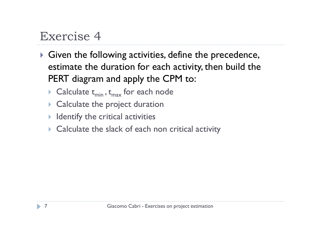- Given the following activities, define the precedence, estimate the duration for each activity, then build the PERT diagram and apply the CPM to:
	- Calculate  $t_{min}$ ,  $t_{max}$  for each node
	- ▶ Calculate the project duration
	- $\blacktriangleright$  Identify the critical activities
	- ▶ Calculate the slack of each non critical activity